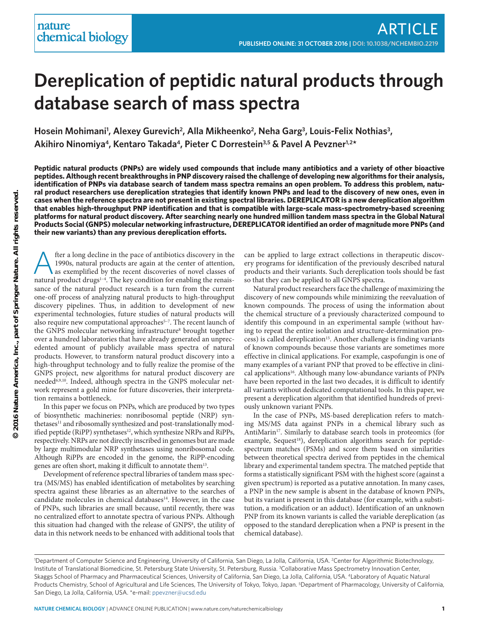# **Dereplication of peptidic natural products through database search of mass spectra**

Hosein Mohimani<sup>1</sup>, Alexey Gurevich<sup>2</sup>, Alla Mikheenko<sup>2</sup>, Neha Garg<sup>3</sup>, Louis-Felix Nothias<sup>3</sup>, **Akihiro Ninomiya4, Kentaro Takada4, Pieter C Dorrestein3,5 & Pavel A Pevzner1,2\***

**Peptidic natural products (PNPs) are widely used compounds that include many antibiotics and a variety of other bioactive peptides. Although recent breakthroughs in PNP discovery raised the challenge of developing new algorithms for their analysis, identification of PNPs via database search of tandem mass spectra remains an open problem. To address this problem, natural product researchers use dereplication strategies that identify known PNPs and lead to the discovery of new ones, even in cases when the reference spectra are not present in existing spectral libraries. DEREPLICATOR is a new dereplication algorithm that enables high-throughput PNP identification and that is compatible with large-scale mass-spectrometry-based screening platforms for natural product discovery. After searching nearly one hundred million tandem mass spectra in the Global Natural Products Social (GNPS) molecular networking infrastructure, DEREPLICATOR identified an order of magnitude more PNPs (and their new variants) than any previous dereplication efforts.** 

**A** fter a long decline in the pace of antibiotics discovery in the 1990s, natural products are again at the center of attention, as exemplified by the recent discoveries of novel classes of notural product druggl<sup>-4</sup>. The 1990s, natural products are again at the center of attention, natural product drugs<sup>1-4</sup>. The key condition for enabling the renaissance of the natural product research is a turn from the current one-off process of analyzing natural products to high-throughput discovery pipelines. Thus, in addition to development of new experimental technologies, future studies of natural products will also require new computational approaches<sup>5-[7](#page-6-1)</sup>. The recent launch of the GNPS molecular networking infrastructure<sup>8</sup> brought together over a hundred laboratories that have already generated an unprecedented amount of publicly available mass spectra of natural products. However, to transform natural product discovery into a high-throughput technology and to fully realize the promise of the GNPS project, new algorithms for natural product discovery are needed6[,9,](#page-6-3)[10](#page-6-4) . Indeed, although spectra in the GNPS molecular network represent a gold mine for future discoveries, their interpretation remains a bottleneck.

In this paper we focus on PNPs, which are produced by two types of biosynthetic machineries: nonribosomal peptide (NRP) syn- $^{\rm thetases^{11}}$  and ribosomally synthesized and post-translationally mod-ified peptide (RiPP) synthetases<sup>[12](#page-6-6)</sup>, which synthesize NRPs and RiPPs, respectively. NRPs are not directly inscribed in genomes but are made by large multimodular NRP synthetases using nonribosomal code. Although RiPPs are encoded in the genome, the RiPP-encoding genes are often short, making it difficult to annotate them $^{\scriptscriptstyle 13}$ .

Development of reference spectral libraries of tandem mass spectra (MS/MS) has enabled identification of metabolites by searching spectra against these libraries as an alternative to the searches of candidate molecules in chemical databases<sup>14</sup>. However, in the case of PNPs, such libraries are small because, until recently, there was no centralized effort to annotate spectra of various PNPs. Although this situation had changed with the release of GNPS<sup>8</sup>, the utility of data in this network needs to be enhanced with additional tools that can be applied to large extract collections in therapeutic discovery programs for identification of the previously described natural products and their variants. Such dereplication tools should be fast so that they can be applied to all GNPS spectra.

Natural product researchers face the challenge of maximizing the discovery of new compounds while minimizing the reevaluation of known compounds. The process of using the information about the chemical structure of a previously characterized compound to identify this compound in an experimental sample (without having to repeat the entire isolation and structure-determination pro-cess) is called dereplication<sup>[15](#page-6-9)</sup>. Another challenge is finding variants of known compounds because those variants are sometimes more effective in clinical applications. For example, caspofungin is one of many examples of a variant PNP that proved to be effective in clinical applications<sup>16</sup>. Although many low-abundance variants of PNPs have been reported in the last two decades, it is difficult to identify all variants without dedicated computational tools. In this paper, we present a dereplication algorithm that identified hundreds of previously unknown variant PNPs.

In the case of PNPs, MS-based dereplication refers to matching MS/MS data against PNPs in a chemical library such as AntiMarin<sup>[17](#page-6-11)</sup>. Similarly to database search tools in proteomics (for example, Sequest<sup>[18](#page-6-12)</sup>), dereplication algorithms search for peptidespectrum matches (PSMs) and score them based on similarities between theoretical spectra derived from peptides in the chemical library and experimental tandem spectra. The matched peptide that forms a statistically significant PSM with the highest score (against a given spectrum) is reported as a putative annotation. In many cases, a PNP in the new sample is absent in the database of known PNPs, but its variant is present in this database (for example, with a substitution, a modification or an adduct). Identification of an unknown PNP from its known variants is called the variable dereplication (as opposed to the standard dereplication when a PNP is present in the chemical database).

<sup>&</sup>lt;sup>1</sup>Department of Computer Science and Engineering, University of California, San Diego, La Jolla, California, USA. <sup>2</sup>Center for Algorithmic Biotechnology, Institute of Translational Biomedicine, St. Petersburg State University, St. Petersburg, Russia. 3Collaborative Mass Spectrometry Innovation Center, Skaggs School of Pharmacy and Pharmaceutical Sciences, University of California, San Diego, La Jolla, California, USA. 4Laboratory of Aquatic Natural Products Chemistry, School of Agricultural and Life Sciences, The University of Tokyo, Tokyo, Japan. 5Department of Pharmacology, University of California, San Diego, La Jolla, California, USA. \*e-mail: ppevzner@ucsd.edu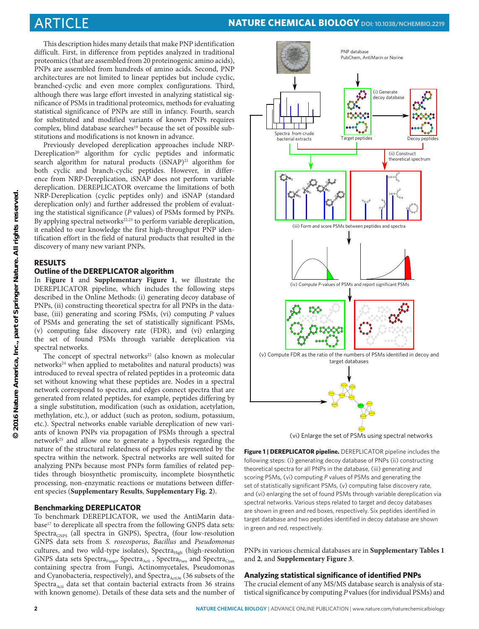This description hides many details that make PNP identification difficult. First, in difference from peptides analyzed in traditional proteomics (that are assembled from 20 proteinogenic amino acids), PNPs are assembled from hundreds of amino acids. Second, PNP architectures are not limited to linear peptides but include cyclic, branched-cyclic and even more complex configurations. Third, although there was large effort invested in analyzing statistical significance of PSMs in traditional proteomics, methods for evaluating statistical significance of PNPs are still in infancy. Fourth, search for substituted and modified variants of known PNPs requires complex, blind database searches<sup>19</sup> because the set of possible substitutions and modifications is not known in advance.

Previously developed dereplication approaches include NRP-Dereplication<sup>20</sup> algorithm for cyclic peptides and informatic search algorithm for natural products (iSNAP)<sup>21</sup> algorithm for both cyclic and branch-cyclic peptides. However, in difference from NRP-Dereplication, iSNAP does not perform variable dereplication. DEREPLICATOR overcame the limitations of both NRP-Dereplication (cyclic peptides only) and iSNAP (standard dereplication only) and further addressed the problem of evaluating the statistical significance (*P* values) of PSMs formed by PNPs. By applying spectral networks<sup>22,[23](#page-7-2)</sup> to perform variable dereplication, it enabled to our knowledge the first high-throughput PNP identification effort in the field of natural products that resulted in the discovery of many new variant PNPs.

# **RESULTS**

# **Outline of the DEREPLICATOR algorithm**

In **[Figure 1](#page-1-0)** and **Supplementary Figure 1**, we illustrate the DEREPLICATOR pipeline, which includes the following steps described in the Online Methods: (i) generating decoy database of PNPs, (ii) constructing theoretical spectra for all PNPs in the database, (iii) generating and scoring PSMs, (vi) computing *P* values of PSMs and generating the set of statistically significant PSMs, (v) computing false discovery rate (FDR), and (vi) enlarging the set of found PSMs through variable dereplication via spectral networks.

The concept of spectral networks<sup>22</sup> (also known as molecular networks<sup>[24](#page-7-4)</sup> when applied to metabolites and natural products) was introduced to reveal spectra of related peptides in a proteomic data set without knowing what these peptides are. Nodes in a spectral network correspond to spectra, and edges connect spectra that are generated from related peptides, for example, peptides differing by a single substitution, modification (such as oxidation, acetylation, methylation, etc.), or adduct (such as proton, sodium, potassium, etc.). Spectral networks enable variable dereplication of new variants of known PNPs via propagation of PSMs through a spectral networ[k25](#page-7-5) and allow one to generate a hypothesis regarding the nature of the structural relatedness of peptides represented by the spectra within the network. Spectral networks are well suited for analyzing PNPs because most PNPs form families of related peptides through biosynthetic promiscuity, incomplete biosynthetic processing, non-enzymatic reactions or mutations between different species (**Supplementary Results**, **Supplementary Fig. 2**).

# **Benchmarking DEREPLICATOR**

To benchmark DEREPLICATOR, we used the AntiMarin database[17](#page-6-11) to dereplicate all spectra from the following GNPS data sets*:* Spectra<sub>GNPS</sub> (all spectra in GNPS), Spectra<sub>4</sub> (four low-resolution GNPS data sets from *S. roseosporus*, *Bacillus* and *Pseudomonas* cultures, and two wild-type isolates), Spectra<sub>High</sub> (high-resolution GNPS data sets Spectra<sub>Fungi</sub>, Spectra<sub>Acti</sub>, Spectra<sub>Pseu</sub> and Spectra<sub>Cyan</sub> containing spectra from Fungi, Actinomycetales, Pseudomonas and Cyanobacteria, respectively), and  $Spectra_{\text{Acti36}}$  (36 subsets of the Spectra $_{\text{Acti}}$  data set that contain bacterial extracts from 36 strains with known genome). Details of these data sets and the number of





<span id="page-1-0"></span>**Figure 1 | DEREPLICATOR pipeline.** DEREPLICATOR pipeline includes the following steps: (i) generating decoy database of PNPs (ii) constructing theoretical spectra for all PNPs in the database, (iii) generating and scoring PSMs, (vi) computing *P* values of PSMs and generating the set of statistically significant PSMs, (v) computing false discovery rate, and (vi) enlarging the set of found PSMs through variable dereplication via spectral networks. Various steps related to target and decoy databases are shown in green and red boxes, respectively. Six peptides identified in target database and two peptides identified in decoy database are shown in green and red, respectively.

PNPs in various chemical databases are in **Supplementary Tables 1**  and **2**, and **Supplementary Figure 3**.

# **Analyzing statistical significance of identified PNPs**

The crucial element of any MS/MS database search is analysis of statistical significance by computing *P* values (for individual PSMs) and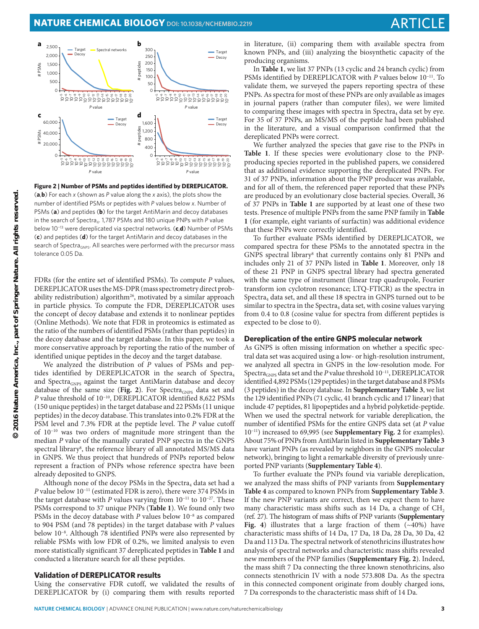

<span id="page-2-0"></span>**Figure 2 | Number of PSMs and peptides identified by DEREPLICATOR.** (**a**,**b**) For each *x* (shown as *P* value along the *x* axis), the plots show the number of identified PSMs or peptides with *P* values below *x*. Number of PSMs (**a**) and peptides (**b**) for the target AntiMarin and decoy databases in the search of Spectra<sub>4</sub>. 1,787 PSMs and 180 unique PNPs with P value below 10−13 were dereplicated via spectral networks. (**c**,**d**) Number of PSMs (**c**) and peptides (**d**) for the target AntiMarin and decoy databases in the search of Spectra<sub>GNPS</sub>. All searches were performed with the precursor mass tolerance 0.05 Da.

FDRs (for the entire set of identified PSMs). To compute *P* values, DEREPLICATOR uses the MS-DPR (mass spectrometry direct probability redistribution) algorithm<sup>26</sup>, motivated by a similar approach in particle physics. To compute the FDR, DEREPLICATOR uses the concept of decoy database and extends it to nonlinear peptides (Online Methods). We note that FDR in proteomics is estimated as the ratio of the numbers of identified PSMs (rather than peptides) in the decoy database and the target database. In this paper, we took a more conservative approach by reporting the ratio of the number of identified unique peptides in the decoy and the target database.

We analyzed the distribution of *P* values of PSMs and peptides identified by DEREPLICATOR in the search of Spectra $_4$ and Spectra<sub>GNPS</sub> against the target AntiMarin database and decoy database of the same size ([Fig. 2](#page-2-0)). For Spectra<sub>GNPS</sub> data set and *P* value threshold of 10<sup>-10</sup>, DEREPLICATOR identified 8,622 PSMs (150 unique peptides) in the target database and 22 PSMs (11 unique peptides) in the decoy database. This translates into 0.2% FDR at the PSM level and 7.3% FDR at the peptide level. The *P* value cutoff of 10−10 was two orders of magnitude more stringent than the median *P* value of the manually curated PNP spectra in the GNPS spectral library<sup>[8](#page-6-2)</sup>, the reference library of all annotated MS/MS data in GNPS. We thus project that hundreds of PNPs reported below represent a fraction of PNPs whose reference spectra have been already deposited to GNPS.

Although none of the decoy PSMs in the Spectra<sub>4</sub> data set had a *P* value below 10<sup>−11</sup> (estimated FDR is zero), there were 374 PSMs in the target database with *P* values varying from 10−11 to 10−27. These PSMs correspond to 37 unique PNPs (**[Table 1](#page-3-0)**). We found only two PSMs in the decoy database with *P* values below 10−8 as compared to 904 PSM (and 78 peptides) in the target database with *P* values below 10−8. Although 78 identified PNPs were also represented by reliable PSMs with low FDR of 0.2%, we limited analysis to even more statistically significant 37 dereplicated peptides in **[Table 1](#page-3-0)** and conducted a literature search for all these peptides.

#### **Validation of DEREPLICATOR results**

Using the conservative FDR cutoff, we validated the results of DEREPLICATOR by (i) comparing them with results reported

in literature, (ii) comparing them with available spectra from known PNPs, and (iii) analyzing the biosynthetic capacity of the producing organisms.

In **[Table 1](#page-3-0)**, we list 37 PNPs (13 cyclic and 24 branch cyclic) from PSMs identified by DEREPLICATOR with *P* values below 10−11. To validate them, we surveyed the papers reporting spectra of these PNPs. As spectra for most of these PNPs are only available as images in journal papers (rather than computer files), we were limited to comparing these images with spectra in  $Spectra_4$  data set by eye. For 35 of 37 PNPs, an MS/MS of the peptide had been published in the literature, and a visual comparison confirmed that the dereplicated PNPs were correct.

We further analyzed the species that gave rise to the PNPs in **[Table 1](#page-3-0)**. If these species were evolutionary close to the PNPproducing species reported in the published papers, we considered that as additional evidence supporting the dereplicated PNPs. For 31 of 37 PNPs, information about the PNP producer was available, and for all of them, the referenced paper reported that these PNPs are produced by an evolutionary close bacterial species. Overall, 36 of 37 PNPs in **[Table 1](#page-3-0)** are supported by at least one of these two tests. Presence of multiple PNPs from the same PNP family in **[Table](#page-3-0)  [1](#page-3-0)** (for example, eight variants of surfactin) was additional evidence that these PNPs were correctly identified.

To further evaluate PSMs identified by DEREPLICATOR, we compared spectra for these PSMs to the annotated spectra in the GNPS spectral library<sup>8</sup> that currently contains only 81 PNPs and includes only 21 of 37 PNPs listed in **[Table 1](#page-3-0)**. Moreover, only 18 of these 21 PNP in GNPS spectral library had spectra generated with the same type of instrument (linear trap quadrupole, Fourier transform ion cyclotron resonance; LTQ-FTICR) as the spectra in Spectra<sub>4</sub> data set, and all these 18 spectra in GNPS turned out to be similar to spectra in the Spectra<sub>4</sub> data set, with cosine values varying from 0.4 to 0.8 (cosine value for spectra from different peptides is expected to be close to 0).

#### **Dereplication of the entire GNPS molecular network**

As GNPS is often missing information on whether a specific spectral data set was acquired using a low- or high-resolution instrument, we analyzed all spectra in GNPS in the low-resolution mode. For Spectra<sub>GNPS</sub> data set and the *P* value threshold 10<sup>-11</sup>, DEREPLICATOR identified 4,892 PSMs (129 peptides) in the target database and 8 PSMs (3 peptides) in the decoy database. In **Supplementary Table 3**, we list the 129 identified PNPs (71 cyclic, 41 branch cyclic and 17 linear) that include 47 peptides, 81 lipopeptides and a hybrid polyketide-peptide. When we used the spectral network for variable dereplication, the number of identified PSMs for the entire GNPS data set (at *P* value 10−11) increased to 69,995 (see **Supplementary Fig. 2** for examples). About 75% of PNPs from AntiMarin listed in **Supplementary Table 3** have variant PNPs (as revealed by neighbors in the GNPS molecular network), bringing to light a remarkable diversity of previously unreported PNP variants (**Supplementary Table 4**).

To further evaluate the PNPs found via variable dereplication, we analyzed the mass shifts of PNP variants from **Supplementary Table 4** as compared to known PNPs from **Supplementary Table 3**. If the new PNP variants are correct, then we expect them to have many characteristic mass shifts such as 14 Da, a change of CH<sub>2</sub> (ref. [27](#page-7-6)). The histogram of mass shifts of PNP variants (**Supplementary**  Fig. 4) illustrates that a large fraction of them  $(-40%)$  have characteristic mass shifts of 14 Da, 17 Da, 18 Da, 28 Da, 30 Da, 42 Da and 113 Da. The spectral network of stenothricins illustrates how analysis of spectral networks and characteristic mass shifts revealed new members of the PNP families (**Supplementary Fig. 2**). Indeed, the mass shift 7 Da connecting the three known stenothricins, also connects stenothricin IV with a node 573.808 Da. As the spectra in this connected component originate from doubly charged ions, 7 Da corresponds to the characteristic mass shift of 14 Da.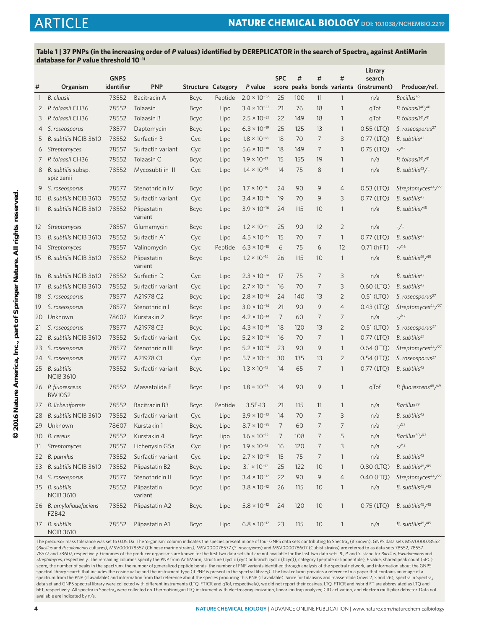<span id="page-3-0"></span>Table 1 | 37 PNPs (in the increasing order of P values) identified by DEREPLICATOR in the search of Spectra<sub>4</sub> against AntiMarin **database for** *P* **value threshold 10−11**

| #            | Organism                               | <b>GNPS</b><br>identifier | <b>PNP</b>             | <b>Structure Category</b> |         | P value               | <b>SPC</b>      | #   | #              | #              | Library<br>search<br>score peaks bonds variants (instrument) | Producer/ref.                                |
|--------------|----------------------------------------|---------------------------|------------------------|---------------------------|---------|-----------------------|-----------------|-----|----------------|----------------|--------------------------------------------------------------|----------------------------------------------|
| $\mathbf{1}$ | <b>B.</b> clausii                      | 78552                     | Bacitracin A           | Bcyc                      | Peptide | $2.0 \times 10^{-26}$ | 25              | 100 | 11             | $\mathbf{1}$   | n/a                                                          | Bacillus <sup>39</sup>                       |
| 2            | P. tolaasii CH36                       | 78552                     | Tolaasin I             | Bcyc                      | Lipo    | $3.4 \times 10^{-22}$ | 21              | 76  | 18             | $\mathbf{1}$   | qTof                                                         | P. tolaasii <sup>40</sup> / <sup>41</sup>    |
| 3            | P. tolaasii CH36                       | 78552                     | Tolaasin B             | Bcyc                      | Lipo    | $2.5 \times 10^{-21}$ | 22              | 149 | 18             | $\mathbf{1}$   | qTof                                                         | P. tolaasii41/41                             |
| 4            | S. roseosporus                         | 78577                     | Daptomycin             | Bcyc                      | Lipo    | $6.3 \times 10^{-19}$ | 25              | 125 | 13             | $\mathbf{1}$   | $0.55$ (LTQ)                                                 | S. roseosporus <sup>27</sup>                 |
| 5            | B. subtilis NCIB 3610                  | 78552                     | Surfactin B            | Cyc                       | Lipo    | $1.8 \times 10^{-18}$ | 18              | 70  | 7              | 3              | 0.77 (LTQ)                                                   | B. subtilis <sup>42</sup>                    |
| 6            | Streptomyces                           | 78557                     | Surfactin variant      | Cyc                       | Lipo    | $5.6 \times 10^{-18}$ | 18              | 149 | $\overline{7}$ | $\mathbf{1}$   | 0.75 (LTQ)                                                   | $-1/42$                                      |
| $7^{\circ}$  | P. tolaasii CH36                       | 78552                     | Tolaasin C             | Bcyc                      | Lipo    | $1.9 \times 10^{-17}$ | 15              | 155 | 19             | $\mathbf{1}$   | n/a                                                          | P. tolaasii <sup>41</sup> / <sup>41</sup>    |
| 8            | B. subtilis subsp.<br>spizizenii       | 78552                     | Mycosubtilin III       | Cyc                       | Lipo    | $1.4 \times 10^{-16}$ | 14              | 75  | 8              | $\mathbf{1}$   | n/a                                                          | B. subtilis <sup>43</sup> /-                 |
| 9            | S. roseosporus                         | 78577                     | Stenothricin IV        | Bcyc                      | Lipo    | $1.7 \times 10^{-16}$ | 24              | 90  | 9              | $\overline{4}$ | $0.53$ (LTQ)                                                 | Streptomyces <sup>44</sup> / <sup>27</sup>   |
| 10           | B. subtilis NCIB 3610                  | 78552                     | Surfactin variant      | Cyc                       | Lipo    | $3.4 \times 10^{-16}$ | 19              | 70  | 9              | 3              | 0.77 (LTQ)                                                   | B. subtilis <sup>42</sup>                    |
| 11           | B. subtilis NCIB 3610                  | 78552                     | Plipastatin<br>variant | Bcyc                      | Lipo    | $3.9 \times 10^{-16}$ | 24              | 115 | 10             | $\mathbf{1}$   | n/a                                                          | B. subtilis/45                               |
| 12           | Streptomyces                           | 78557                     | Glumamycin             | Bcyc                      | Lipo    | $1.2 \times 10^{-15}$ | 25              | 90  | 12             | $\overline{2}$ | n/a                                                          | $-/-$                                        |
| 13           | B. subtilis NCIB 3610                  | 78552                     | Surfactin A1           | Cyc                       | Lipo    | $4.5 \times 10^{-15}$ | 15              | 70  | $\overline{7}$ | $\mathbf{1}$   | 0.77 (LTQ)                                                   | B. subtilis <sup>42</sup>                    |
| 14           | Streptomyces                           | 78557                     | Valinomycin            | Cyc                       | Peptide | $6.3 \times 10^{-15}$ | 6               | 75  | 6              | 12             | $0.71$ (hFT)                                                 | $-746$                                       |
| 15           | B. subtilis NCIB 3610                  | 78552                     | Plipastatin<br>variant | Bcyc                      | Lipo    | $1.2 \times 10^{-14}$ | 26              | 115 | 10             | $\mathbf{1}$   | n/a                                                          | B. subtilis <sup>45</sup> / <sup>45</sup>    |
| 16           | B. subtilis NCIB 3610                  | 78552                     | Surfactin D            | Cyc                       | Lipo    | $2.3 \times 10^{-14}$ | 17              | 75  | $\overline{7}$ | 3              | n/a                                                          | B. subtilis <sup>42</sup>                    |
| 17           | B. subtilis NCIB 3610                  | 78552                     | Surfactin variant      | Cyc                       | Lipo    | $2.7 \times 10^{-14}$ | 16              | 70  | $\overline{7}$ | 3              | $0.60$ (LTQ)                                                 | B. subtilis <sup>42</sup>                    |
| 18           | S. roseosporus                         | 78577                     | A21978 C2              | Bcyc                      | Lipo    | $2.8 \times 10^{-14}$ | 24              | 140 | 13             | $\overline{2}$ | $0.51$ (LTQ)                                                 | S. roseosporus <sup>27</sup>                 |
| 19           | S. roseosporus                         | 78577                     | Stenothricin I         | Bcyc                      | Lipo    | $3.0 \times 10^{-14}$ | 21              | 90  | 9              | $\overline{4}$ | $0.43$ (LTQ)                                                 | Streptomyces <sup>44</sup> / <sup>27</sup>   |
| 20           | Unknown                                | 78607                     | Kurstakin 2            | Bcyc                      | Lipo    | $4.2 \times 10^{-14}$ | $\overline{7}$  | 60  | $\overline{7}$ | 7              | n/a                                                          | $-1/47$                                      |
| 21           | S. roseosporus                         | 78577                     | A21978 C3              | Bcyc                      | Lipo    | $4.3 \times 10^{-14}$ | 18              | 120 | 13             | $\overline{2}$ | $0.51$ (LTQ)                                                 | S. roseosporus <sup>27</sup>                 |
| 22           | B. subtilis NCIB 3610                  | 78552                     | Surfactin variant      | Cyc                       | Lipo    | $5.2 \times 10^{-14}$ | 16              | 70  | 7              | $\mathbf{1}$   | 0.77 (LTQ)                                                   | B. subtilis <sup>42</sup>                    |
| 23           | S. roseosporus                         | 78577                     | Stenothricin III       | Bcyc                      | Lipo    | $5.2 \times 10^{-14}$ | 23              | 90  | 9              | $\mathbf{1}$   | $0.64$ (LTQ)                                                 | Streptomyces <sup>44</sup> / <sup>27</sup>   |
| 24           | S. roseosporus                         | 78577                     | A21978 C1              | Cyc                       | Lipo    | $5.7 \times 10^{-14}$ | 30              | 135 | 13             | $\overline{2}$ | $0.54$ (LTQ)                                                 | S. roseosporus <sup>27</sup>                 |
| 25           | B. subtilis<br><b>NCIB 3610</b>        | 78552                     | Surfactin variant      | Bcyc                      | Lipo    | $1.3 \times 10^{-13}$ | 14              | 65  | $\overline{7}$ | $\mathbf{1}$   | $0.77$ (LTQ)                                                 | B. subtilis <sup>42</sup>                    |
|              | 26 P. fluorescens<br><b>BW10S2</b>     | 78552                     | Massetolide F          | Bcyc                      | Lipo    | $1.8 \times 10^{-13}$ | 14              | 90  | 9              | $\mathbf{1}$   | qTof                                                         | P. fluorescens <sup>48</sup> / <sup>49</sup> |
| 27           | B. licheniformis                       | 78552                     | Bacitracin B3          | Bcyc                      | Peptide | 3.5E-13               | 21              | 115 | 11             | $\mathbf{1}$   | n/a                                                          | Bacillus <sup>39</sup>                       |
| 28           | B. subtilis NCIB 3610                  | 78552                     | Surfactin variant      | Cyc                       | Lipo    | $3.9 \times 10^{-13}$ | 14              | 70  | $\overline{7}$ | 3              | n/a                                                          | B. subtilis <sup>42</sup>                    |
|              | 29 Unknown                             |                           | 78607 Kurstakin 1      | Bcyc                      | Lipo    | $8.7 \times 10^{-13}$ | $7\overline{ }$ | 60  | $\overline{7}$ | 7              | n/a                                                          | $-1/47$                                      |
|              | 30 B. cereus                           | 78552                     | Kurstakin 4            | Bcyc                      | lipo    | $1.6 \times 10^{-12}$ | 7               | 108 | 7              | 5              | n/a                                                          | Bacillus <sup>50</sup> / <sup>47</sup>       |
| 31           | Streptomyces                           | 78557                     | Lichenysin G5a         | Cyc                       | Lipo    | $1.9 \times 10^{-12}$ | 16              | 120 | 7              | 3              | n/a                                                          | $-1/42$                                      |
|              | 32 B. pamilus                          | 78552                     | Surfactin variant      | Cyc                       | Lipo    | $2.7 \times 10^{-12}$ | 15              | 75  | 7              | $\mathbf{1}$   | n/a                                                          | B. subtilis <sup>42</sup>                    |
|              | 33 B. subtilis NCIB 3610               | 78552                     | Plipastatin B2         | Bcyc                      | Lipo    | $3.1 \times 10^{-12}$ | 25              | 122 | 10             | $\mathbf{1}$   | $0.80$ (LTQ)                                                 | B. subtilis <sup>45</sup> / <sup>45</sup>    |
|              | 34 S. roseosporus                      | 78577                     | Stenothricin II        | Bcyc                      | Lipo    | $3.4 \times 10^{-12}$ | 22              | 90  | 9              | $\overline{4}$ | $0.40$ (LTQ)                                                 | Streptomyces <sup>44</sup> / <sup>27</sup>   |
| 35           | <b>B.</b> subtilis<br><b>NCIB 3610</b> | 78552                     | Plipastatin<br>variant | Bcyc                      | Lipo    | $3.8 \times 10^{-12}$ | 26              | 115 | 10             | $\mathbf{1}$   | n/a                                                          | B. subtilis <sup>45</sup> / <sup>45</sup>    |
|              | 36 B. amyloliquefaciens<br>FZB42       | 78552                     | Plipastatin A2         | Bcyc                      | Lipo    | $5.8 \times 10^{-12}$ | 24              | 120 | 10             | $\mathbf{1}$   | 0.75 (LTQ)                                                   | B. subtilis <sup>45</sup> / <sup>45</sup>    |
|              | 37 B. subtilis<br><b>NCIB 3610</b>     | 78552                     | Plipastatin A1         | Bcyc                      | Lipo    | $6.8 \times 10^{-12}$ | 23              | 115 | 10             | $\mathbf{1}$   | n/a                                                          | B. subtilis <sup>45</sup> / <sup>45</sup>    |

The precursor mass tolerance was set to 0.05 Da. The 'organism' column indicates the species present in one of four GNPS data sets contributing to Spectra<sub>4</sub> (if known). GNPS data sets MSV000078552 (*Bacillus* and *Pseudomonas* cultures), MSV000078557 (Chinese marine strains), MSV000078577 (*S. roseosporus*) and MSV000078607 (Cubist strains) are referred to as data sets 78552, 78557, 78577 and 78607, respectively. Genomes of the producer organisms are known for the first two data sets but are not available for the last two data sets. B., P. and S. stand for Bacillus, Pseudomonas and *Streptomyces*, respectively. The remaining columns specify the PNP from AntiMarin, structure (cyclic (cyc) or branch cyclic (bcyc)), category (peptide or lipopeptide), *P* value, shared peak count (SPC) score, the number of peaks in the spectrum, the number of generalized peptide bonds, the number of PNP variants identified through analysis of the spectral network, and information about the GNPS spectral library search that includes the cosine value and the instrument type (if PNP is present in the spectral library). The final column provides a reference to a paper that contains an image of a spectrum from the PNP (if available) and information from that reference about the species producing this PNP (if available). Since for tolaasins and massetolide (rows 2, 3 and 26), spectra in Spectra $_4$ data set and GNPS spectral library were collected with different instruments (LTQ-FTICR and qTof, respectively), we did not report their cosines. LTQ-FTICR and hybrid FT are abbreviated as LTQ and hFT, respectively. All spectra in Spectra<sub>4</sub> were collected on ThermoFinnigan LTQ instrument with electrospray ionization, linear ion trap analyzer, CID activation, and electron multiplier detector. Data not available are indicated by n/a.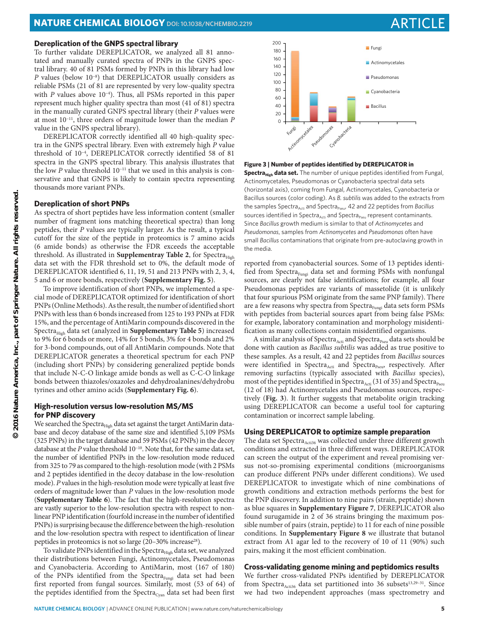#### **Dereplication of the GNPS spectral library**

To further validate DEREPLICATOR, we analyzed all 81 annotated and manually curated spectra of PNPs in the GNPS spectral library. 40 of 81 PSMs formed by PNPs in this library had low *P* values (below 10<sup>-8</sup>) that DEREPLICATOR usually considers as reliable PSMs (21 of 81 are represented by very low-quality spectra with *P* values above 10−4). Thus, all PSMs reported in this paper represent much higher quality spectra than most (41 of 81) spectra in the manually curated GNPS spectral library (their *P* values were at most 10−11, three orders of magnitude lower than the median *P* value in the GNPS spectral library).

DEREPLICATOR correctly identified all 40 high-quality spectra in the GNPS spectral library. Even with extremely high *P* value threshold of 10−4, DEREPLICATOR correctly identified 58 of 81 spectra in the GNPS spectral library. This analysis illustrates that the low *P* value threshold 10−11 that we used in this analysis is conservative and that GNPS is likely to contain spectra representing thousands more variant PNPs.

#### **Dereplication of short PNPs**

As spectra of short peptides have less information content (smaller number of fragment ions matching theoretical spectra) than long peptides, their *P* values are typically larger. As the result, a typical cutoff for the size of the peptide in proteomics is 7 amino acids (6 amide bonds) as otherwise the FDR exceeds the acceptable threshold. As illustrated in **Supplementray Table 2**, for Spectra<sub>High</sub> data set with the FDR threshold set to 0%, the default mode of DEREPLICATOR identified 6, 11, 19, 51 and 213 PNPs with 2, 3, 4, 5 and 6 or more bonds, respectively (**Supplementary Fig. 5**).

To improve identification of short PNPs, we implemented a special mode of DEREPLICATOR optimized for identification of short PNPs (Online Methods). As the result, the number of identified short PNPs with less than 6 bonds increased from 125 to 193 PNPs at FDR 15%, and the percentage of AntiMarin compounds discovered in the Spectra<sub>High</sub> data set (analyzed in **Supplementary Table 5**) increased to 9% for 6 bonds or more, 14% for 5 bonds, 3% for 4 bonds and 2% for 3-bond compounds, out of all AntiMarin compounds. Note that DEREPLICATOR generates a theoretical spectrum for each PNP (including short PNPs) by considering generalized peptide bonds that include N-C-O linkage amide bonds as well as C-C-O linkage bonds between thiazoles/oxazoles and dehydroalanines/dehydrobu tyrines and other amino acids (**Supplementary Fig. 6**).

#### **High-resolution versus low-resolution MS/MS for PNP discovery**

We searched the Spectra $_{\textrm{High}}$  data set against the target AntiMarin database and decoy database of the same size and identified 5,109 PSMs (325 PNPs) in the target database and 59 PSMs (42 PNPs) in the decoy database at the *P* value threshold 10−10. Note that, for the same data set, the number of identified PNPs in the low-resolution mode reduced from 325 to 79 as compared to the high-resolution mode (with 2 PSMs and 2 peptides identified in the decoy database in the low-resolution mode). *P* values in the high-resolution mode were typically at least five orders of magnitude lower than *P* values in the low-resolution mode (**Supplementary Table 6**). The fact that the high-resolution spectra are vastly superior to the low-resolution spectra with respect to nonlinear PNP identification (fourfold increase in the number of identified PNPs) is surprising because the difference between the high-resolution and the low-resolution spectra with respect to identification of linear peptides in proteomics is not so large (20-30% increase<sup>[28](#page-7-19)</sup>).

To validate PNPs identified in the Spectra High data set, we analyzed their distributions between Fungi, Actinomycetales, Pseudomonas and Cyanobacteria. According to AntiMarin, most (167 of 180) of the PNPs identified from the Spectra<sub>Fungi</sub> data set had been first reported from fungal sources. Similarly, most (53 of 64) of the peptides identified from the Spectra<sub>Cyan</sub> data set had been first



#### <span id="page-4-0"></span>**Figure 3 | Number of peptides identified by DEREPLICATOR in**

Spectra<sub>High</sub> data set. The number of unique peptides identified from Fungal, Actinomycetales, Pseudomonas or Cyanobacteria spectral data sets (horizontal axis), coming from Fungal, Actinomycetales, Cyanobacteria or Bacillus sources (color coding). As *B. subtilis* was added to the extracts from the samples Spectra<sub>Acti</sub> and Spectra<sub>Pseu</sub>, 42 and 22 peptides from *Bacillus* sources identified in Spectra<sub>Acti</sub> and Spectra<sub>Pseu</sub> represent contaminants. Since *Bacillus* growth medium is similar to that of *Actinomycetes* and *Pseudomonas*, samples from *Actinomycetes* and *Pseudomonas* often have small *Bacillus* contaminations that originate from pre-autoclaving growth in the media.

reported from cyanobacterial sources. Some of 13 peptides identified from Spectra<sub>Fungi</sub> data set and forming PSMs with nonfungal sources, are clearly not false identifications; for example, all four Pseudomonas peptides are variants of massetolide (it is unlikely that four spurious PSM originate from the same PNP family). There are a few reasons why spectra from Spectra<sub>Fungi</sub> data sets form PSMs with peptides from bacterial sources apart from being false PSMs: for example, laboratory contamination and morphology misidentification as many collections contain misidentified organisms.

A similar analysis of  $\mathrm{Spectra}_{\mathrm{Acti}}$  and  $\mathrm{Spectra}_{\mathrm{Pseu}}$  data sets should be done with caution as *Bacillus subtilis* was added as true positive to these samples. As a result, 42 and 22 peptides from *Bacillus* sources were identified in Spectra<sub>Acti</sub> and Spectra<sub>Pseu</sub>, respectively. After removing surfactins (typically associated with *Bacillus* species), most of the peptides identified in Spectra $_{\text{Acti}}$  (31 of 35) and Spectra $_{\text{Pseu}}$ (12 of 18) had Actinomycetales and Pseudonomas sources, respectively (**[Fig. 3](#page-4-0)**). It further suggests that metabolite origin tracking using DEREPLICATOR can become a useful tool for capturing contamination or incorrect sample labeling.

#### **Using DEREPLICATOR to optimize sample preparation**

The data set Spectra Acti36 was collected under three different growth conditions and extracted in three different ways. DEREPLICATOR can screen the output of the experiment and reveal promising versus not-so-promising experimental conditions (microorganisms can produce different PNPs under different conditions). We used DEREPLICATOR to investigate which of nine combinations of growth conditions and extraction methods performs the best for the PNP discovery. In addition to nine pairs (strain, peptide) shown as blue squares in **Supplementary Figure 7**, DEREPLICATOR also found surugamide in 2 of 36 strains bringing the maximum possible number of pairs (strain, peptide) to 11 for each of nine possible conditions. In **Supplementary Figure 8** we illustrate that butanol extract from A1 agar led to the recovery of 10 of 11 (90%) such pairs, making it the most efficient combination.

#### **Cross-validating genome mining and peptidomics results**

We further cross-validated PNPs identified by DEREPLICATOR from Spectra<sub>Acti36</sub> data set partitioned into 36 subsets<sup>13,29-[31](#page-7-21)</sup>. Since we had two independent approaches (mass spectrometry and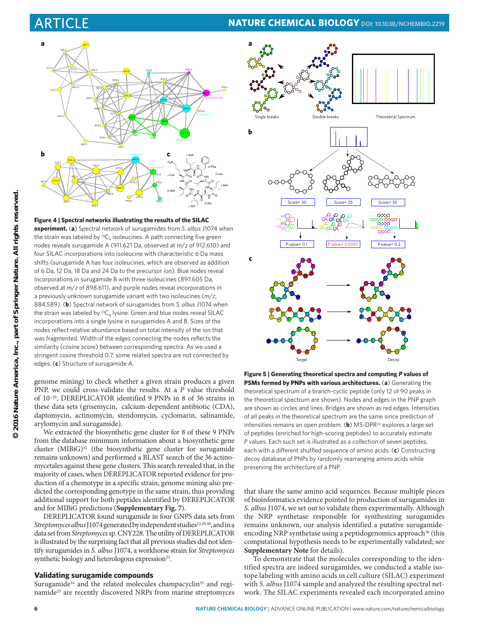

<span id="page-5-0"></span>**Figure 4 | Spectral networks illustrating the results of the SILAC experiment.** (**a**) Spectral network of surugamides from *S. albus* J1074 when the strain was labeled by  ${}^{13}C_6$  isoleucines. A path connecting five green nodes reveals surugamide A (911.621 Da, observed at *m*/*z* of 912.610) and four SILAC incorporations into isoleucine with characteristic 6 Da mass shifts (surugamide A has four isoleucines, which are observed as addition of 6 Da, 12 Da, 18 Da and 24 Da to the precursor ion). Blue nodes reveal incorporations in surugamide B with three isoleucines (897.605 Da, observed at *m*/*z* of 898.611), and purple nodes reveal incorporations in a previously unknown surugamide variant with two isoleucines (*m*/*z*, 884.589). (**b**) Spectral network of surugamides from *S. albus* J1074 when the strain was labeled by  ${}^{13}C_6$  lysine. Green and blue nodes reveal SILAC incorporations into a single lysine in surugamides A and B. Sizes of the nodes reflect relative abundance based on total intensity of the ion that was fragmented. Width of the edges connecting the nodes reflects the similarity (cosine score) between corresponding spectra. As we used a stringent cosine threshold 0.7, some related spectra are not connected by edges. (**c**) Structure of surugamide A.

genome mining) to check whether a given strain produces a given PNP, we could cross-validate the results. At a *P* value threshold of 10−10, DEREPLICATOR identified 9 PNPs in 8 of 36 strains in these data sets (grisemycin, calcium-dependent antibiotic (CDA), daptomycin, actinomycin, stendomycin, cyclomarin, salinamide, arylomycin and surugamide).

We extracted the biosynthetic gene cluster for 8 of these 9 PNPs from the database minimum information about a biosynthetic gene cluster (MIBiG)<sup>32</sup> (the biosynthetic gene cluster for surugamide remains unknown) and performed a BLAST search of the 36 actinomycetales against these gene clusters. This search revealed that, in the majority of cases, when DEREPLICATOR reported evidence for production of a chemotype in a specific strain, genome mining also predicted the corresponding genotype in the same strain, thus providing additional support for both peptides identified by DEREPLICATOR and for MIBiG predictions (**Supplementary Fig. 7**).

DEREPLICATOR found surugamide in four GNPS data sets from Streptomyces albus J1074 generated by independent studies<sup>13,[29,](#page-7-20)[30](#page-7-23)</sup>, and in a data set from *Streptomyces* sp. CNY228. The utility of DEREPLICATOR is illustrated by the surprising fact that all previous studies did not identify surugamides in *S. albus* J1074, a workhorse strain for *Streptomyces* synthetic biology and heterologous expression<sup>33</sup>.

### **Validating surugamide compounds**

Surugamide<sup>[34](#page-7-25)</sup> and the related molecules champacyclin<sup>[35](#page-7-26)</sup> and regi-namide<sup>[25](#page-7-5)</sup> are recently discovered NRPs from marine streptomyces



<span id="page-5-1"></span>**Figure 5 | Generating theoretical spectra and computing** *P* **values of PSMs formed by PNPs with various architectures.** (**a**) Generating the theoretical spectrum of a branch-cyclic peptide (only 12 of 90 peaks in the theoretical spectrum are shown). Nodes and edges in the PNP graph are shown as circles and lines. Bridges are shown as red edges. Intensities of all peaks in the theoretical spectrum are the same since prediction of intensities remains an open problem. (**b**) MS-DPR26 explores a large set of peptides (enriched for high-scoring peptides) to accurately estimate *P* values. Each such set is illustrated as a collection of seven peptides, each with a different shuffled sequence of amino acids. (**c**) Constructing decoy database of PNPs by randomly rearranging amino acids while preserving the architecture of a PNP.

that share the same amino acid sequences. Because multiple pieces of bioinformatics evidence pointed to production of surugamides in *S. albus* J1074, we set out to validate them experimentally. Although the NRP synthetase responsible for synthesizing surugamides remains unknown, our analysis identified a putative surugamide-encoding NRP synthetase using a peptidogenomics approach<sup>[36](#page-7-27)</sup> (this computational hypothesis needs to be experimentally validated; see **Supplementary Note** for details).

To demonstrate that the molecules corresponding to the identified spectra are indeed surugamides, we conducted a stable isotope labeling with amino acids in cell culture (SILAC) experiment with *S. albus* J1074 sample and analyzed the resulting spectral network. The SILAC experiments revealed each incorporated amino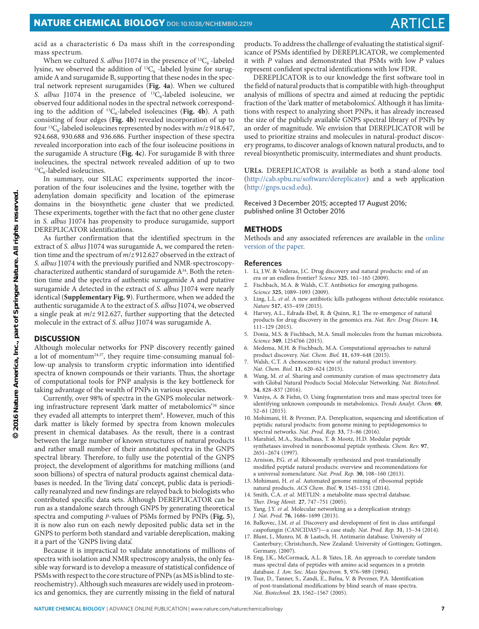acid as a characteristic 6 Da mass shift in the corresponding mass spectrum.

When we cultured *S. albus* J1074 in the presence of  ${}^{13}C_6$  -labeled lysine, we observed the addition of  ${}^{13}C_6$  -labeled lysine for surugamide A and surugamide B, supporting that these nodes in the spectral network represent surugamides (**[Fig. 4a](#page-5-0)**). When we cultured *S. albus* J1074 in the presence of  ${}^{13}C_6$ -labeled isoleucine, we observed four additional nodes in the spectral network corresponding to the addition of  ${}^{13}C_6$ -labeled isoleucines ([Fig. 4b](#page-5-0)). A path consisting of four edges (**[Fig. 4b](#page-5-0)**) revealed incorporation of up to four <sup>13</sup>C<sub>6</sub>-labeled isoleucines represented by nodes with  $m/z$  918.647, 924.668, 930.688 and 936.686. Further inspection of these spectra revealed incorporation into each of the four isoleucine positions in the surugamide A structure (**[Fig. 4c](#page-5-0)**). For surugamide B with three isoleucines, the spectral network revealed addition of up to two  ${}^{13}C_6$ -labeled isoleucines.

In summary, our SILAC experiments supported the incorporation of the four isoleucines and the lysine, together with the adenylation domain specificity and location of the epimerase domains in the biosynthetic gene cluster that we predicted. These experiments, together with the fact that no other gene cluster in *S. albus* J1074 has propensity to produce surugamide, support DEREPLICATOR identifications.

As further confirmation that the identified spectrum in the extract of *S. albus* J1074 was surugamide A, we compared the retention time and the spectrum of *m*/*z* 912.627 observed in the extract of *S. albus* J1074 with the previously purified and NMR-spectroscopycharacterized authentic standard of surugamide  $A^{34}$  $A^{34}$  $A^{34}$ . Both the retention time and the spectra of authentic surugamide A and putative surugamide A detected in the extract of *S. albus* J1074 were nearly identical (**Supplementary Fig. 9**). Furthermore, when we added the authentic surugamide A to the extract of *S. albus* J1074, we observed a single peak at *m*/*z* 912.627, further supporting that the detected molecule in the extract of *S. albus* J1074 was surugamide A.

### **DISCUSSION**

Although molecular networks for PNP discovery recently gained a lot of momentum24[,37](#page-7-28) , they require time-consuming manual follow-up analysis to transform cryptic information into identified spectra of known compounds or their variants. Thus, the shortage of computational tools for PNP analysis is the key bottleneck for taking advantage of the wealth of PNPs in various species.

Currently, over 98% of spectra in the GNPS molecular networking infrastructure represent 'dark matter of metabolomics['38](#page-7-29) since they evaded all attempts to interpret them<sup>[8](#page-6-2)</sup>. However, much of this dark matter is likely formed by spectra from known molecules present in chemical databases. As the result, there is a contrast between the large number of known structures of natural products and rather small number of their annotated spectra in the GNPS spectral library. Therefore, to fully use the potential of the GNPS project, the development of algorithms for matching millions (and soon billions) of spectra of natural products against chemical databases is needed. In the 'living data' concept, public data is periodically reanalyzed and new findings are relayed back to biologists who contributed specific data sets. Although DEREPLICATOR can be run as a standalone search through GNPS by generating theoretical spectra and computing *P*-values of PSMs formed by PNPs (**[Fig.](#page-5-0) 5**), it is now also run on each newly deposited public data set in the GNPS to perform both standard and variable dereplication, making it a part of the 'GNPS living data'.

Because it is impractical to validate annotations of millions of spectra with isolation and NMR spectroscopy analysis, the only feasible way forward is to develop a measure of statistical confidence of PSMs with respect to the core structure of PNPs (as MS is blind to stereochemistry). Although such measures are widely used in proteomics and genomics, they are currently missing in the field of natural

products. To address the challenge of evaluating the statistical significance of PSMs identified by DEREPLICATOR, we complemented it with *P* values and demonstrated that PSMs with low *P* values represent confident spectral identifications with low FDR.

DEREPLICATOR is to our knowledge the first software tool in the field of natural products that is compatible with high-throughput analysis of millions of spectra and aimed at reducing the peptidic fraction of the 'dark matter of metabolomics'. Although it has limitations with respect to analyzing short PNPs, it has already increased the size of the publicly available GNPS spectral library of PNPs by an order of magnitude. We envision that DEREPLICATOR will be used to prioritize strains and molecules in natural-product discovery programs, to discover analogs of known natural products, and to reveal biosynthetic promiscuity, intermediates and shunt products.

**URLs.** DEREPLICATOR is available as both a stand-alone tool (<http://cab.spbu.ru/software/dereplicator>) and a web application (<http://gnps.ucsd.edu>).

Received 3 December 2015; accepted 17 August 2016; published online 31 October 2016

### **Methods**

Methods and any associated references are available in the [online](http://dx.doi.org/10.1038/nchembio.2219)  [version of the paper.](http://dx.doi.org/10.1038/nchembio.2219)

#### **References**

- 1. Li, J.W. & Vederas, J.C. Drug discovery and natural products: end of an era or an endless frontier? *Science* **325**, 161–165 (2009).
- 2. Fischbach, M.A. & Walsh, C.T. Antibiotics for emerging pathogens. *Science* **325**, 1089–1093 (2009).
- 3. Ling, L.L. *et al.* A new antibiotic kills pathogens without detectable resistance. *Nature* **517**, 455–459 (2015).
- <span id="page-6-0"></span>4. Harvey, A.L., Edrada-Ebel, R. & Quinn, R.J. The re-emergence of natural products for drug discovery in the genomics era. *Nat. Rev. Drug Discov.* **14**, 111–129 (2015).
- 5. Donia, M.S. & Fischbach, M.A. Small molecules from the human microbiota. *Science* **349**, 1254766 (2015).
- 6. Medema, M.H. & Fischbach, M.A. Computational approaches to natural product discovery. *Nat. Chem. Biol.* **11**, 639–648 (2015).
- <span id="page-6-1"></span>7. Walsh, C.T. A chemocentric view of the natural product inventory. *Nat. Chem. Biol.* **11**, 620–624 (2015).
- <span id="page-6-2"></span>8. Wang, M. *et al.* Sharing and community curation of mass spectrometry data with Global Natural Products Social Molecular Networking. *Nat. Biotechnol.* **34**, 828–837 (2016).
- <span id="page-6-3"></span>9. Vaniya, A. & Fiehn, O. Using fragmentation trees and mass spectral trees for identifying unknown compounds in metabolomics. *Trends Analyt. Chem.* **69**, 52–61 (2015).
- <span id="page-6-4"></span>10. Mohimani, H. & Pevzner, P.A. Dereplication, sequencing and identification of peptidic natural products: from genome mining to peptidogenomics to spectral networks. *Nat. Prod. Rep.* **33**, 73–86 (2016).
- <span id="page-6-5"></span>11. Marahiel, M.A., Stachelhaus, T. & Mootz, H.D. Modular peptide synthetases involved in nonribosomal peptide synthesis. *Chem. Rev.* **97**, 2651–2674 (1997).
- <span id="page-6-6"></span>12. Arnison, P.G. *et al.* Ribosomally synthesized and post-translationally modified peptide natural products: overview and recommendations for a universal nomenclature. *Nat. Prod. Rep.* **30**, 108–160 (2013).
- <span id="page-6-7"></span>13. Mohimani, H. *et al.* Automated genome mining of ribosomal peptide natural products. *ACS Chem. Biol.* **9**, 1545–1551 (2014).
- <span id="page-6-8"></span>14. Smith, C.A. *et al.* METLIN: a metabolite mass spectral database. *Ther. Drug Monit.* **27**, 747–751 (2005).
- <span id="page-6-9"></span>15. Yang, J.Y. *et al.* Molecular networking as a dereplication strategy. *J. Nat. Prod.* **76**, 1686–1699 (2013).
- <span id="page-6-10"></span>16. Balkovec, J.M. *et al.* Discovery and development of first in class antifungal caspofungin (CANCIDAS®)—a case study. *Nat. Prod. Rep.* **31**, 15–34 (2014).
- <span id="page-6-11"></span>17. Blunt, J., Munro, M. & Laatsch, H. Antimarin database. University of Canterbury; Christchurch, New Zealand: University of Gottingen; Gottingen, Germany, (2007).
- <span id="page-6-12"></span>18. Eng, J.K., McCormack, A.L. & Yates, J.R. An approach to correlate tandem mass spectral data of peptides with amino acid sequences in a protein database. *J. Am. Soc. Mass Spectrom.* **5**, 976–989 (1994).
- <span id="page-6-13"></span>19. Tsur, D., Tanner, S., Zandi, E., Bafna, V. & Pevzner, P.A. Identification of post-translational modifications by blind search of mass spectra. *Nat. Biotechnol.* **23**, 1562–1567 (2005).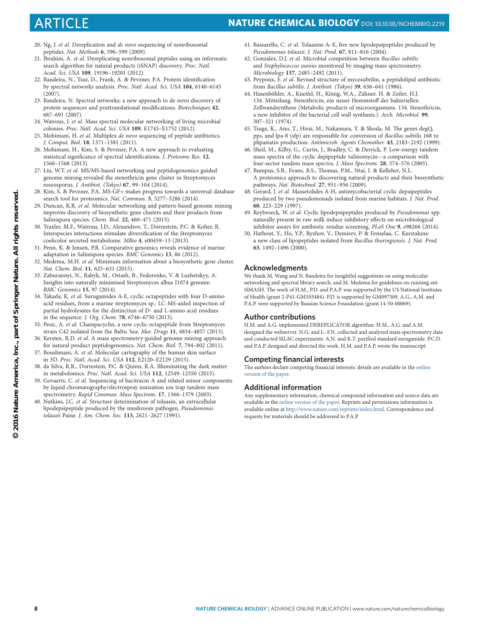- <span id="page-7-0"></span>20. Ng, J. *et al.* Dereplication and *de novo* sequencing of nonribosomal peptides. *Nat. Methods* **6**, 596–599 (2009).
- <span id="page-7-1"></span>21. Ibrahim, A. *et al.* Dereplicating nonribosomal peptides using an informatic search algorithm for natural products (iSNAP) discovery. *Proc. Natl. Acad. Sci. USA* **109**, 19196–19201 (2012).
- <span id="page-7-3"></span>22. Bandeira, N., Tsur, D., Frank, A. & Pevzner, P.A. Protein identification by spectral networks analysis. *Proc. Natl. Acad. Sci. USA* **104**, 6140–6145 (2007).
- <span id="page-7-2"></span>23. Bandeira, N. Spectral networks: a new approach to de novo discovery of protein sequences and posttranslational modifications. *Biotechniques* **42**, 687–691 (2007).
- <span id="page-7-4"></span>24. Watrous, J. *et al.* Mass spectral molecular networking of living microbial colonies. *Proc. Natl. Acad. Sci. USA* **109**, E1743–E1752 (2012).
- <span id="page-7-5"></span>25. Mohimani, H. *et al.* Multiplex *de novo* sequencing of peptide antibiotics. *J. Comput. Biol.* **18**, 1371–1381 (2011).
- <span id="page-7-30"></span>26. Mohimani, H., Kim, S. & Pevzner, P.A. A new approach to evaluating statistical significance of spectral identifications. *J. Proteome Res.* **12**, 1560–1568 (2013).
- <span id="page-7-6"></span>27. Liu, W.T. *et al.* MS/MS-based networking and peptidogenomics guided genome mining revealed the stenothricin gene cluster in Streptomyces roseosporus. *J. Antibiot. (Tokyo)* **67**, 99–104 (2014).
- <span id="page-7-19"></span>28. Kim, S. & Pevzner, P.A. MS-GF+ makes progress towards a universal database search tool for proteomics. *Nat. Commun.* **5**, 5277–5286 (2014).
- <span id="page-7-20"></span>Duncan, K.R. *et al.* Molecular networking and pattern-based genome mining improves discovery of biosynthetic gene clusters and their products from Salinispora species. *Chem. Biol.* **22**, 460–471 (2015).
- <span id="page-7-23"></span>Traxler, M.F., Watrous, J.D., Alexandrov, T., Dorrestein, P.C. & Kolter, R. Interspecies interactions stimulate diversification of the Streptomyces coelicolor secreted metabolome. *MBio* **4**, e00459–13 (2013).
- <span id="page-7-21"></span>31. Penn, K. & Jensen, P.R. Comparative genomics reveals evidence of marine adaptation in Salinispora species. *BMC Genomics* **13**, 86 (2012).
- <span id="page-7-22"></span>32. Medema, M.H. *et al.* Minimum information about a biosynthetic gene cluster. *Nat. Chem. Biol.* **11**, 625–631 (2015).
- <span id="page-7-24"></span>33. Zaburannyi, N., Rabyk, M., Ostash, B., Fedorenko, V. & Luzhetskyy, A. Insights into naturally minimised Streptomyces albus J1074 genome. *BMC Genomics* **15**, 97 (2014).
- <span id="page-7-25"></span>34. Takada, K. *et al.* Surugamides A-E, cyclic octapeptides with four D-amino acid residues, from a marine streptomyces sp.: LC-MS-aided inspection of partial hydrolysates for the distinction of D- and L-amino acid residues in the sequence. *J. Org. Chem.* **78**, 6746–6750 (2013).
- <span id="page-7-26"></span>35. Pesic, A. *et al.* Champacyclin, a new cyclic octapeptide from Streptomyces strain C42 isolated from the Baltic Sea. *Mar. Drugs* **11**, 4834–4857 (2013).
- <span id="page-7-27"></span>36. Kersten, R.D. *et al.* A mass spectrometry-guided genome mining approach for natural product peptidogenomics. *Nat. Chem. Biol.* **7**, 794–802 (2011). Bouslimani, A. *et al.* Molecular cartography of the human skin surface
- <span id="page-7-28"></span>in 3D. *Proc. Natl. Acad. Sci. USA* **112**, E2120–E2129 (2015). 38. da Silva, R.R., Dorrestein, P.C. & Quinn, R.A. Illuminating the dark matter
- <span id="page-7-29"></span>in metabolomics. *Proc. Natl. Acad. Sci. USA* **112**, 12549–12550 (2015). 39. Govaerts, C. *et al.* Sequencing of bacitracin A and related minor components
- <span id="page-7-7"></span>by liquid chromatography/electrospray ionization ion trap tandem mass spectrometry. *Rapid Commun. Mass Spectrom.* **17**, 1366–1379 (2003).
- <span id="page-7-8"></span>40. Nutkins, J.C. *et al.* Structure determination of tolaasin, an extracellular lipodepsipeptide produced by the mushroom pathogen, *Pseudomonas tolaasii* Paine. *J. Am. Chem. Soc.* **113**, 2621–2627 (1991).
- <span id="page-7-9"></span>41. Bassarello, C. *et al.* Tolaasins A–E, five new lipodepsipeptides produced by *Pseudomonas tolaasii*. *J. Nat. Prod.* **67**, 811–816 (2004).
- <span id="page-7-10"></span>42. Gonzalez, D.J. *et al.* Microbial competition between *Bacillus subtilis* and *Staphylococcus aureus* monitored by imaging mass spectrometry. *Microbiology* **157**, 2485–2492 (2011).
- <span id="page-7-11"></span>43. Peypoux, F. *et al.* Revised structure of mycosubtilin, a peptidolipid antibiotic from *Bacillus subtilis*. *J. Antibiot. (Tokyo)* **39**, 636–641 (1986).
- <span id="page-7-12"></span>44. Hasenböhler, A., Kneifel, H., König, W.A., Zähner, H. & Zeiler, H.J. 134. Mitteilung. Stenothricin, ein neuer Hemmstoff der bakteriellen Zellwandsynthese (Metabolic products of microorganisms. 134. Stenothricin, a new inhibitor of the bacterial cell wall synthesis.). *Arch. Microbiol.* **99**, 307–321 (1974).
- <span id="page-7-13"></span>45. Tsuge, K., Ano, T., Hirai, M., Nakamura, Y. & Shoda, M. The genes degQ, pps, and lpa-8 (sfp) are responsible for conversion of *Bacillus subtilis* 168 to plipastatin production. *Antimicrob. Agents Chemother.* **43**, 2183–2192 (1999).
- <span id="page-7-14"></span>46. Sheil, M., Kilby, G., Curtis, J., Bradley, C. & Derrick, P. Low-energy tandem mass spectra of the cyclic depipeptide valinomycin—a comparison with four-sector tandem mass spectra. *J. Mass Spectrom.* **28**, 574–576 (2005).
- <span id="page-7-15"></span>47. Bumpus, S.B., Evans, B.S., Thomas, P.M., Ntai, I. & Kelleher, N.L. A proteomics approach to discovering natural products and their biosynthetic pathways. *Nat. Biotechnol.* **27**, 951–956 (2009).
- <span id="page-7-16"></span>48. Gerard, J. *et al.* Massetolides A-H, antimycobacterial cyclic depsipeptides produced by two pseudomonads isolated from marine habitats. *J. Nat. Prod.* **60**, 223–229 (1997).
- <span id="page-7-17"></span>49. Reybroeck, W. *et al.* Cyclic lipodepsipeptides produced by *Pseudomonas* spp. naturally present in raw milk induce inhibitory effects on microbiological inhibitor assays for antibiotic residue screening. *PLoS One* **9**, e98266 (2014).
- <span id="page-7-18"></span>50. Hathout, Y., Ho, Y.P., Ryzhov, V., Demirev, P. & Fenselau, C. Kurstakins: a new class of lipopeptides isolated from *Bacillus thuringiensis*. *J. Nat. Prod.* **63**, 1492–1496 (2000).

## **Acknowledgments**

We thank M. Wang and N. Bandeira for insightful suggestions on using molecular networking and spectral library search, and M. Medema for guidelines on running antiSMASH. The work of H.M., P.D. and P.A.P. was supported by the US National Institutes of Health (grant 2-P41-GM103484). P.D. is supported by GM097509. A.G., A.M. and P.A.P. were supported by Russian Science Foundation (grant 14-50-00069).

#### **Author contributions**

H.M. and A.G. implemented DEREPLICATOR algorithm. H.M., A.G. and A.M. designed the webserver. N.G. and L.-F.N. collected and analyzed mass spectrometry data and conducted SILAC experiments. A.N. and K.T. purified standard surugamide. P.C.D. and P.A.P. designed and directed the work. H.M. and P.A.P. wrote the manuscript.

### **Competing financial interests**

The authors declare competing financial interests: details are available in the [online](http://dx.doi.org/10.1038/nchembio.2219)  [version of the paper.](http://dx.doi.org/10.1038/nchembio.2219)

# **Additional information**

Any supplementary information, chemical compound information and source data are available in the [online version of the paper.](http://dx.doi.org/10.1038/nchembio.2219) Reprints and permissions information is available online at [http://www.nature.com/reprints/index.html.](http://www.nature.com/reprints/index.html) Correspondence and requests for materials should be addressed to P.A.P.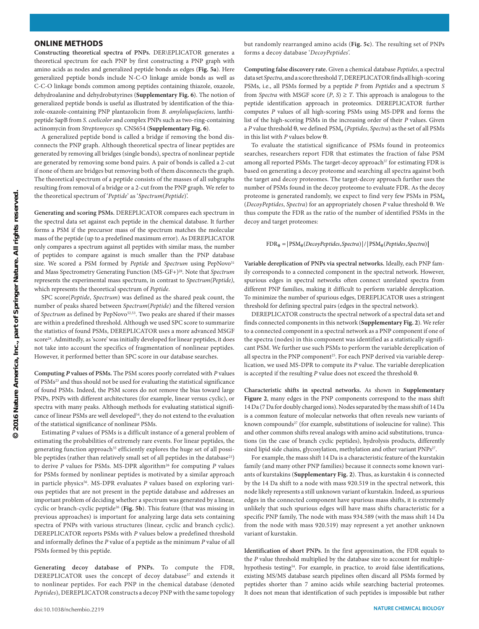# **ONLINE METHODS**

**Constructing theoretical spectra of PNPs.** DER\EPLICATOR generates a theoretical spectrum for each PNP by first constructing a PNP graph with amino acids as nodes and generalized peptide bonds as edges (**[Fig. 5a](#page-5-1)**). Here generalized peptide bonds include N-C-O linkage amide bonds as well as C-C-O linkage bonds common among peptides containing thiazole, oxazole, dehydroalanine and dehydrobutyrines (**Supplementary Fig. 6**). The notion of generalized peptide bonds is useful as illustrated by identification of the thiazole-oxazole-containing PNP plantazolicin from *B. amyloliquefaciens*, lanthipeptide SapB from *S. coelicolor* and complex PNPs such as two-ring-containing actinomycin from *Streptomyces* sp. CNS654 (**Supplementary Fig. 6**).

A generalized peptide bond is called a bridge if removing the bond disconnects the PNP graph. Although theoretical spectra of linear peptides are generated by removing all bridges (single bonds), spectra of nonlinear peptide are generated by removing some bond pairs. A pair of bonds is called a 2-cut if none of them are bridges but removing both of them disconnects the graph. The theoretical spectrum of a peptide consists of the masses of all subgraphs resulting from removal of a bridge or a 2-cut from the PNP graph. We refer to the theoretical spectrum of '*Peptide*' as '*Spectrum*(*Peptide*)'.

**Generating and scoring PSMs.** DEREPLICATOR compares each spectrum in the spectral data set against each peptide in the chemical database. It further forms a PSM if the precursor mass of the spectrum matches the molecular mass of the peptide (up to a predefined maximum error). As DEREPLICATOR only compares a spectrum against all peptides with similar mass, the number of peptides to compare against is much smaller than the PNP database size. We scored a PSM formed by *Peptide* and *Spectrum* using PepNovo<sup>51</sup> and Mass Spectrometry Generating Function (MS-GF+)<sup>28</sup>. Note that Spectrum represents the experimental mass spectrum, in contrast to *Spectrum(Peptide)*, which represents the theoretical spectrum of *Peptide*.

SPC score(*Peptide*, *Spectrum*) was defined as the shared peak count, the number of peaks shared between *Spectrum*(*Peptide*) and the filtered version of *Spectrum* as defined by PepNovo<sup>52,[53](#page-9-1)</sup>. Two peaks are shared if their masses are within a predefined threshold. Although we used SPC score to summarize the statistics of found PSMs, DEREPLICATOR uses a more advanced MSGF score<sup>28</sup>. Admittedly, as 'score' was initially developed for linear peptides, it does not take into account the specifics of fragmentation of nonlinear peptides. However, it performed better than SPC score in our database searches.

**Computing** *P* **values of PSMs.** The PSM scores poorly correlated with *P* values of PSMs<sup>[23](#page-7-2)</sup> and thus should not be used for evaluating the statistical significance of found PSMs. Indeed, the PSM scores do not remove the bias toward large PNPs, PNPs with different architectures (for example, linear versus cyclic), or spectra with many peaks. Although methods for evaluating statistical signifi-cance of linear PSMs are well developed<sup>[54](#page-9-2)</sup>, they do not extend to the evaluation of the statistical significance of nonlinear PSMs.

Estimating *P* values of PSMs is a difficult instance of a general problem of estimating the probabilities of extremely rare events. For linear peptides, the generating function approach<sup>55</sup> efficiently explores the huge set of all possible peptides (rather than relatively small set of all peptides in the database<sup>23</sup>) to derive P values for PSMs. MS-DPR algorithm<sup>26</sup> for computing P values for PSMs formed by nonlinear peptides is motivated by a similar approach in particle physics<sup>[56](#page-9-4)</sup>. MS-DPR evaluates *P* values based on exploring various peptides that are not present in the peptide database and addresses an important problem of deciding whether a spectrum was generated by a linear, cyclic or branch-cyclic peptide26 (**[Fig. 5b](#page-5-1)**). This feature (that was missing in previous approaches) is important for analyzing large data sets containing spectra of PNPs with various structures (linear, cyclic and branch cyclic). DEREPLICATOR reports PSMs with *P* values below a predefined threshold and informally defines the *P* value of a peptide as the minimum *P* value of all PSMs formed by this peptide.

**Generating decoy database of PNPs.** To compute the FDR, DEREPLICATOR uses the concept of decoy database<sup>57</sup> and extends it to nonlinear peptides. For each PNP in the chemical database (denoted *Peptides*), DEREPLICATOR constructs a decoy PNP with the same topology

but randomly rearranged amino acids (**[Fig. 5c](#page-5-1)**). The resulting set of PNPs forms a decoy database '*DecoyPeptides*'.

**Computing false discovery rate.** Given a chemical database *Peptides*, a spectral data set *Spectra*, and a score threshold *T*, DEREPLICATOR finds all high-scoring PSMs, i.e., all PSMs formed by a peptide *P* from *Peptides* and a spectrum *S* from *Spectra* with MSGF score  $(P, S) \geq T$ . This approach is analogous to the peptide identification approach in proteomics. DEREPLICATOR further computes *P* values of all high-scoring PSMs using MS-DPR and forms the list of the high-scoring PSMs in the increasing order of their *P* values. Given a *P* value threshold θ, we defined PSM<sub>θ</sub> (*Peptides*, *Spectra*) as the set of all PSMs in this list with *P* values below θ.

To evaluate the statistical significance of PSMs found in proteomics searches, researchers report FDR that estimates the fraction of false PSM among all reported PSMs. The target-decoy approach<sup>57</sup> for estimating FDR is based on generating a decoy proteome and searching all spectra against both the target and decoy proteomes. The target-decoy approach further uses the number of PSMs found in the decoy proteome to evaluate FDR. As the decoy proteome is generated randomly, we expect to find very few PSMs in  $PSM<sub>θ</sub>$ (*DecoyPeptides*, *Spectra*) for an appropriately chosen *P* value threshold θ. We thus compute the FDR as the ratio of the number of identified PSMs in the decoy and target proteomes:

#### $FDR_{\theta} = |PSM_{\theta}(DecoyPeptides, Spectra) | / |PSM_{\theta}(Peptides, Spectra) |$

**Variable dereplication of PNPs via spectral networks.** Ideally, each PNP family corresponds to a connected component in the spectral network. However, spurious edges in spectral networks often connect unrelated spectra from different PNP families, making it difficult to perform variable dereplication. To minimize the number of spurious edges, DEREPLICATOR uses a stringent threshold for defining spectral pairs (edges in the spectral network).

DEREPLICATOR constructs the spectral network of a spectral data set and finds connected components in this network (**Supplementary Fig. 2**). We refer to a connected component in a spectral network as a PNP component if one of the spectra (nodes) in this component was identified as a statistically significant PSM. We further use such PSMs to perform the variable dereplication of all spectra in the PNP component<sup>25</sup>. For each PNP derived via variable dereplication, we used MS-DPR to compute its *P* value. The variable dereplication is accepted if the resulting *P* value does not exceed the threshold θ.

**Characteristic shifts in spectral networks.** As shown in **Supplementary Figure 2**, many edges in the PNP components correspond to the mass shift 14 Da (7 Da for doubly charged ions). Nodes separated by the mass shift of 14 Da is a common feature of molecular networks that often reveals new variants of known compounds<sup>[27](#page-7-6)</sup> (for example, substitutions of isoleucine for valine). This and other common shifts reveal analogs with amino acid substitutions, truncations (in the case of branch cyclic peptides), hydrolysis products, differently sized lipid side chains, glycosylation, methylation and other variant PNPs<sup>27</sup>.

For example, the mass shift 14 Da is a characteristic feature of the kurstakin family (and many other PNP families) because it connects some known variants of kurstakins (**Supplementary Fig. 2**). Thus, as kurstakin 4 is connected by the 14 Da shift to a node with mass 920.519 in the spectral network, this node likely represents a still unknown variant of kurstakin. Indeed, as spurious edges in the connected component have spurious mass shifts, it is extremely unlikely that such spurious edges will have mass shifts characteristic for a specific PNP family, The node with mass 934.589 (with the mass shift 14 Da from the node with mass 920.519) may represent a yet another unknown variant of kurstakin.

**Identification of short PNPs.** In the first approximation, the FDR equals to the *P* value threshold multiplied by the database size to account for multiplehypothesis testing<sup>54</sup>. For example, in practice, to avoid false identifications, existing MS/MS database search pipelines often discard all PSMs formed by peptides shorter than 7 amino acids while searching bacterial proteomes. It does not mean that identification of such peptides is impossible but rather